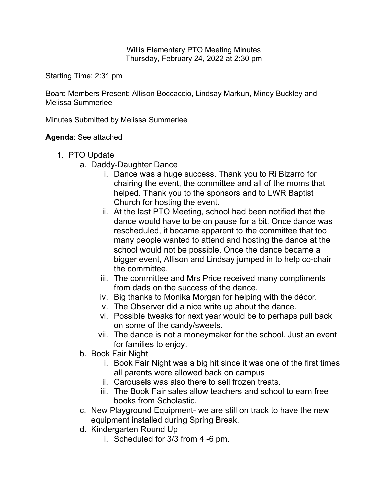Willis Elementary PTO Meeting Minutes Thursday, February 24, 2022 at 2:30 pm

Starting Time: 2:31 pm

Board Members Present: Allison Boccaccio, Lindsay Markun, Mindy Buckley and Melissa Summerlee

Minutes Submitted by Melissa Summerlee

**Agenda**: See attached

- 1. PTO Update
	- a. Daddy-Daughter Dance
		- i. Dance was a huge success. Thank you to Ri Bizarro for chairing the event, the committee and all of the moms that helped. Thank you to the sponsors and to LWR Baptist Church for hosting the event.
		- ii. At the last PTO Meeting, school had been notified that the dance would have to be on pause for a bit. Once dance was rescheduled, it became apparent to the committee that too many people wanted to attend and hosting the dance at the school would not be possible. Once the dance became a bigger event, Allison and Lindsay jumped in to help co-chair the committee.
		- iii. The committee and Mrs Price received many compliments from dads on the success of the dance.
		- iv. Big thanks to Monika Morgan for helping with the décor.
		- v. The Observer did a nice write up about the dance.
		- vi. Possible tweaks for next year would be to perhaps pull back on some of the candy/sweets.
		- vii. The dance is not a moneymaker for the school. Just an event for families to enjoy.
	- b. Book Fair Night
		- i. Book Fair Night was a big hit since it was one of the first times all parents were allowed back on campus
		- ii. Carousels was also there to sell frozen treats.
		- iii. The Book Fair sales allow teachers and school to earn free books from Scholastic.
	- c. New Playground Equipment- we are still on track to have the new equipment installed during Spring Break.
	- d. Kindergarten Round Up
		- i. Scheduled for 3/3 from 4 -6 pm.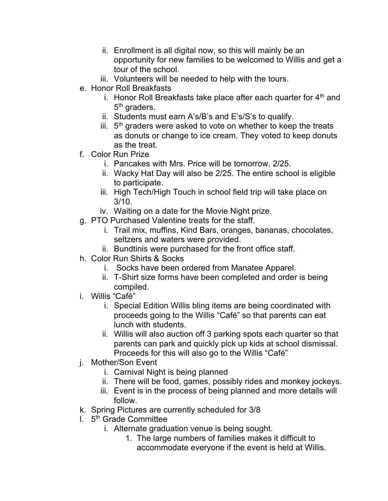- ii. Enrollment is all digital now, so this will mainly be an opportunity for new families to be welcomed to Willis and get a tour of the school.
- iii. Volunteers will be needed to help with the tours.
- e. Honor Roll Breakfasts
	- i. Honor Roll Breakfasts take place after each quarter for  $4<sup>th</sup>$  and 5<sup>th</sup> graders.
	- ii. Students must earn A's/B's and E's/S's to qualify.
	- iii.  $5<sup>th</sup>$  graders were asked to vote on whether to keep the treats as donuts or change to ice cream. They voted to keep donuts as the treat.
- f. Color Run Prize
	- i. Pancakes with Mrs. Price will be tomorrow, 2/25.
	- ii. Wacky Hat Day will also be 2/25. The entire school is eligible to participate.
	- iii. High Tech/High Touch in school field trip will take place on 3/10.
	- iv. Waiting on a date for the Movie Night prize.
- g. PTO Purchased Valentine treats for the staff.
	- i. Trail mix, muffins, Kind Bars, oranges, bananas, chocolates, seltzers and waters were provided.
	- ii. Bundtinis were purchased for the front office staff.
- h. Color Run Shirts & Socks
	- i. Socks have been ordered from Manatee Apparel.
	- ii. T-Shirt size forms have been completed and order is being compiled.
- i. Willis "Café"
	- i. Special Edition Willis bling items are being coordinated with proceeds going to the Willis "Café" so that parents can eat lunch with students.
	- ii. Willis will also auction off 3 parking spots each quarter so that parents can park and quickly pick up kids at school dismissal. Proceeds for this will also go to the Willis "Café"
- j. Mother/Son Event
	- i. Carnival Night is being planned
	- ii. There will be food, games, possibly rides and monkey jockeys.
	- iii. Event is in the process of being planned and more details will follow.
- k. Spring Pictures are currently scheduled for 3/8
- l. 5th Grade Committee
	- i. Alternate graduation venue is being sought.
		- 1. The large numbers of families makes it difficult to accommodate everyone if the event is held at Willis.